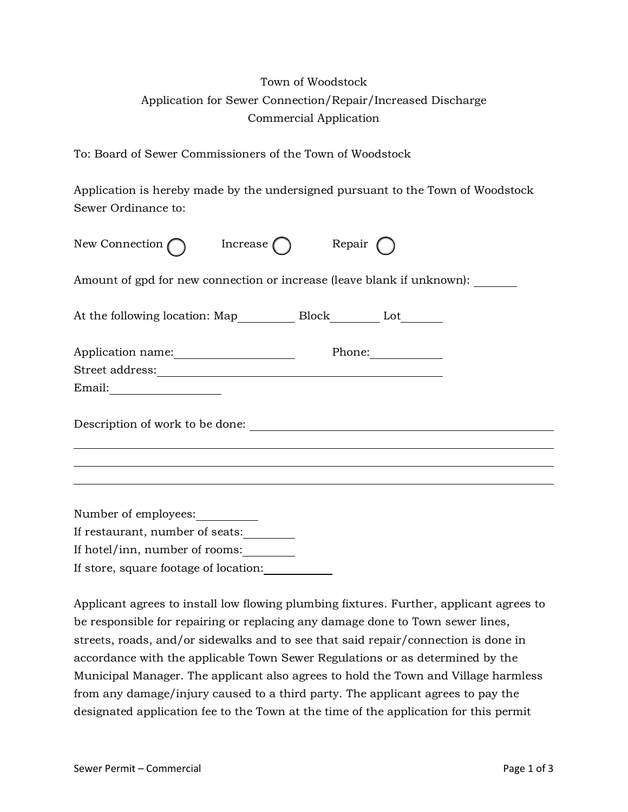## Town of Woodstock Application for Sewer Connection/Repair/Increased Discharge Commercial Application

To: Board of Sewer Commissioners of the Town of Woodstock

Application is hereby made by the undersigned pursuant to the Town of Woodstock Sewer Ordinance to:

| New Connection                                                                             | Increase ( | Repair |                                                |  |
|--------------------------------------------------------------------------------------------|------------|--------|------------------------------------------------|--|
| Amount of gpd for new connection or increase (leave blank if unknown):                     |            |        |                                                |  |
|                                                                                            |            |        |                                                |  |
| Application name:                                                                          |            |        | Phone: $\frac{\phantom{1}}{2\cdot\phantom{1}}$ |  |
|                                                                                            |            |        |                                                |  |
| $Email: \begin{tabular}{ c c } \hline \multicolumn{3}{ c }{\textbf{Email:}} \end{tabular}$ |            |        |                                                |  |
|                                                                                            |            |        |                                                |  |
|                                                                                            |            |        |                                                |  |
|                                                                                            |            |        |                                                |  |
| Number of employees:                                                                       |            |        |                                                |  |
| If restaurant, number of seats:                                                            |            |        |                                                |  |
| If hotel/inn, number of rooms:                                                             |            |        |                                                |  |

If store, square footage of location:

Applicant agrees to install low flowing plumbing fixtures. Further, applicant agrees to be responsible for repairing or replacing any damage done to Town sewer lines, streets, roads, and/or sidewalks and to see that said repair/connection is done in accordance with the applicable Town Sewer Regulations or as determined by the Municipal Manager. The applicant also agrees to hold the Town and Village harmless from any damage/injury caused to a third party. The applicant agrees to pay the designated application fee to the Town at the time of the application for this permit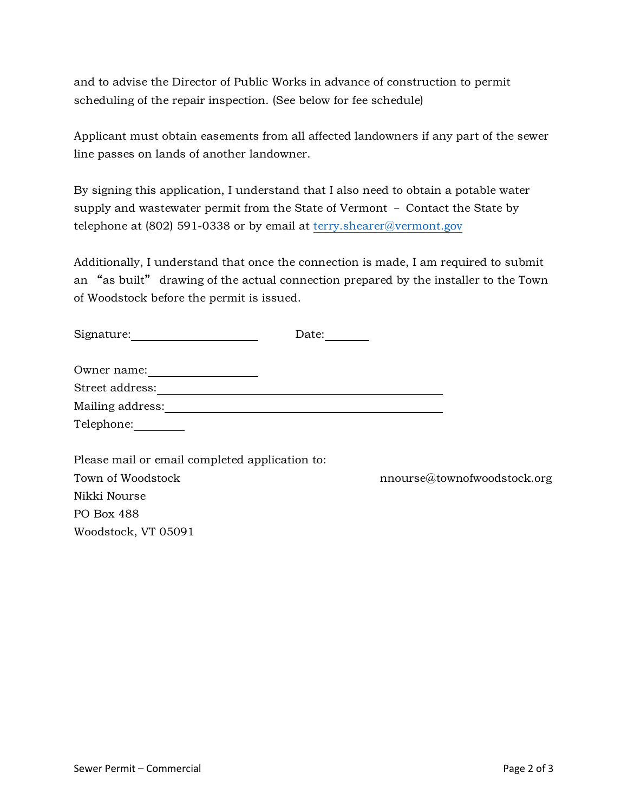and to advise the Director of Public Works in advance of construction to permit scheduling of the repair inspection. (See below for fee schedule)

Applicant must obtain easements from all affected landowners if any part of the sewer line passes on lands of another landowner.

By signing this application, I understand that I also need to obtain a potable water supply and wastewater permit from the State of Vermont – Contact the State by telephone at (802) 591-0338 or by email at [terry.shearer@vermont.gov](mailto:terry.shearer@vermont.gov)

Additionally, I understand that once the connection is made, I am required to submit an "as built" drawing of the actual connection prepared by the installer to the Town of Woodstock before the permit is issued.

| Signature:                                     | Date: |                             |
|------------------------------------------------|-------|-----------------------------|
| Owner name:                                    |       |                             |
| Street address:                                |       |                             |
| Mailing address:                               |       |                             |
| Telephone:                                     |       |                             |
|                                                |       |                             |
| Please mail or email completed application to: |       |                             |
| Town of Woodstock                              |       | nnourse@townofwoodstock.org |
| Nikki Nourse                                   |       |                             |
| PO Box 488                                     |       |                             |
| Woodstock, VT 05091                            |       |                             |
|                                                |       |                             |